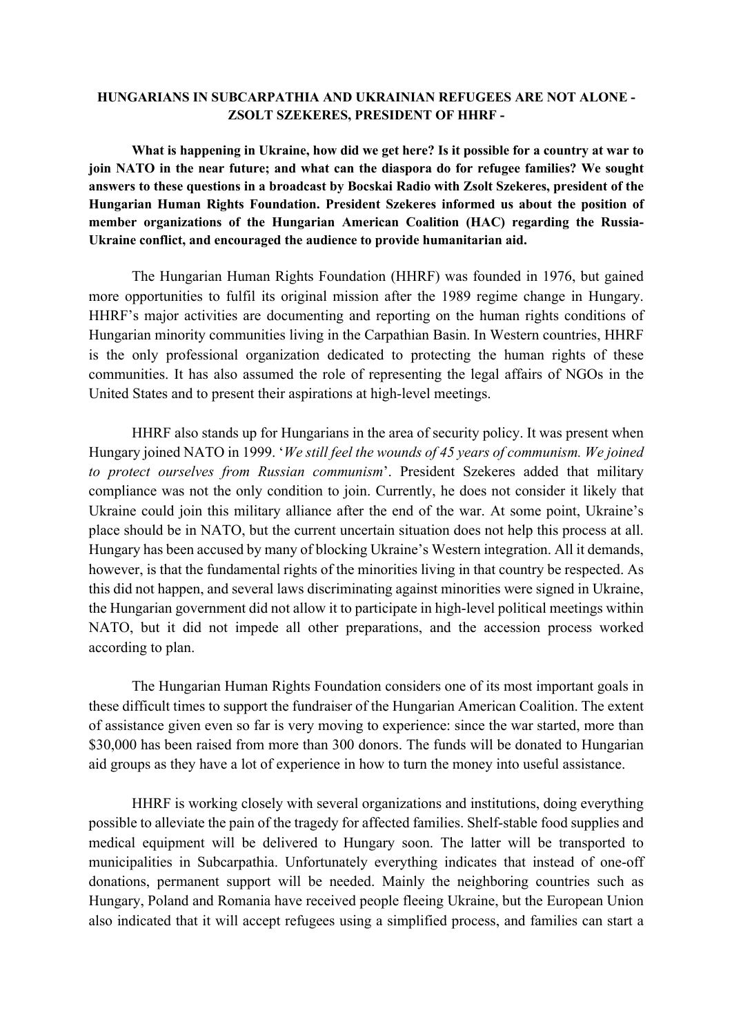## **HUNGARIANS IN SUBCARPATHIA AND UKRAINIAN REFUGEES ARE NOT ALONE - ZSOLT SZEKERES, PRESIDENT OF HHRF -**

**What is happening in Ukraine, how did we get here? Is it possible for a country at war to join NATO in the near future; and what can the diaspora do for refugee families? We sought answers to these questions in a broadcast by Bocskai Radio with Zsolt Szekeres, president of the Hungarian Human Rights Foundation. President Szekeres informed us about the position of member organizations of the Hungarian American Coalition (HAC) regarding the Russia-Ukraine conflict, and encouraged the audience to provide humanitarian aid.**

The Hungarian Human Rights Foundation (HHRF) was founded in 1976, but gained more opportunities to fulfil its original mission after the 1989 regime change in Hungary. HHRF's major activities are documenting and reporting on the human rights conditions of Hungarian minority communities living in the Carpathian Basin. In Western countries, HHRF is the only professional organization dedicated to protecting the human rights of these communities. It has also assumed the role of representing the legal affairs of NGOs in the United States and to present their aspirations at high-level meetings.

HHRF also stands up for Hungarians in the area of security policy. It was present when Hungary joined NATO in 1999. '*We still feel the wounds of 45 years of communism. We joined to protect ourselves from Russian communism*'. President Szekeres added that military compliance was not the only condition to join. Currently, he does not consider it likely that Ukraine could join this military alliance after the end of the war. At some point, Ukraine's place should be in NATO, but the current uncertain situation does not help this process at all. Hungary has been accused by many of blocking Ukraine's Western integration. All it demands, however, is that the fundamental rights of the minorities living in that country be respected. As this did not happen, and several laws discriminating against minorities were signed in Ukraine, the Hungarian government did not allow it to participate in high-level political meetings within NATO, but it did not impede all other preparations, and the accession process worked according to plan.

The Hungarian Human Rights Foundation considers one of its most important goals in these difficult times to support the fundraiser of the Hungarian American Coalition. The extent of assistance given even so far is very moving to experience: since the war started, more than \$30,000 has been raised from more than 300 donors. The funds will be donated to Hungarian aid groups as they have a lot of experience in how to turn the money into useful assistance.

HHRF is working closely with several organizations and institutions, doing everything possible to alleviate the pain of the tragedy for affected families. Shelf-stable food supplies and medical equipment will be delivered to Hungary soon. The latter will be transported to municipalities in Subcarpathia. Unfortunately everything indicates that instead of one-off donations, permanent support will be needed. Mainly the neighboring countries such as Hungary, Poland and Romania have received people fleeing Ukraine, but the European Union also indicated that it will accept refugees using a simplified process, and families can start a